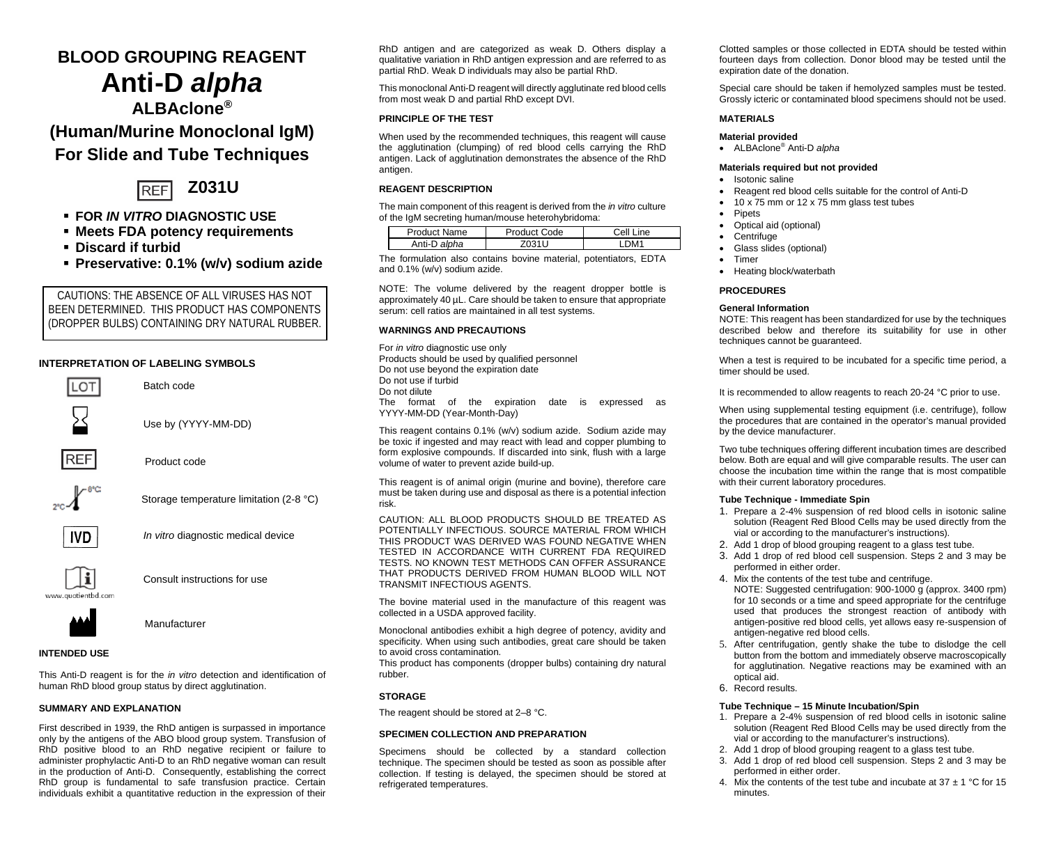# **BLOOD GROUPING REAGENT Anti-D** *alpha*

**ALBAclone®**

# **(Human/Murine Monoclonal IgM) For Slide and Tube Techniques**



- **FOR** *IN VITRO* **DIAGNOSTIC USE**
- **Meets FDA potency requirements**
- **Discard if turbid**
- **Preservative: 0.1% (w/v) sodium azide**

CAUTIONS: THE ABSENCE OF ALL VIRUSES HAS NOT BEEN DETERMINED. THIS PRODUCT HAS COMPONENTS (DROPPER BULBS) CONTAINING DRY NATURAL RUBBER.

# **INTERPRETATION OF LABELING SYMBOLS**



Use by (YYYY-MM-DD)



Product code

Batch code







Storage temperature limitation (2-8 °C)



Consult instructions for use



Manufacturer

# **INTENDED USE**

This Anti-D reagent is for the *in vitro* detection and identification of human RhD blood group status by direct agglutination.

# **SUMMARY AND EXPLANATION**

First described in 1939, the RhD antigen is surpassed in importance only by the antigens of the ABO blood group system. Transfusion of RhD positive blood to an RhD negative recipient or failure to administer prophylactic Anti-D to an RhD negative woman can result in the production of Anti-D. Consequently, establishing the correct RhD group is fundamental to safe transfusion practice. Certain individuals exhibit a quantitative reduction in the expression of their

RhD antigen and are categorized as weak D. Others display a qualitative variation in RhD antigen expression and are referred to as partial RhD. Weak D individuals may also be partial RhD.

This monoclonal Anti-D reagent will directly agglutinate red blood cells from most weak D and partial RhD except DVI.

# **PRINCIPLE OF THE TEST**

When used by the recommended techniques, this reagent will cause the agglutination (clumping) of red blood cells carrying the RhD antigen. Lack of agglutination demonstrates the absence of the RhD antigen.

# **REAGENT DESCRIPTION**

The main component of this reagent is derived from the *in vitro* culture of the IgM secreting human/mouse heterohybridoma:

| Product Name | Product Code | Cell I<br>ine    |
|--------------|--------------|------------------|
| Anti-D alpha |              | DM <sub>11</sub> |

The formulation also contains bovine material, potentiators, EDTA and 0.1% (w/v) sodium azide.

NOTE: The volume delivered by the reagent dropper bottle is approximately 40 µL. Care should be taken to ensure that appropriate serum: cell ratios are maintained in all test systems.

# **WARNINGS AND PRECAUTIONS**

For *in vitro* diagnostic use only Products should be used by qualified personnel Do not use beyond the expiration date Do not use if turbid Do not dilute The format of the expiration date is expressed as YYYY-MM-DD (Year-Month-Day)

This reagent contains 0.1% (w/v) sodium azide. Sodium azide may be toxic if ingested and may react with lead and copper plumbing to form explosive compounds. If discarded into sink, flush with a large volume of water to prevent azide build-up.

This reagent is of animal origin (murine and bovine), therefore care must be taken during use and disposal as there is a potential infection risk.

CAUTION: ALL BLOOD PRODUCTS SHOULD BE TREATED AS POTENTIALLY INFECTIOUS. SOURCE MATERIAL FROM WHICH THIS PRODUCT WAS DERIVED WAS FOUND NEGATIVE WHEN TESTED IN ACCORDANCE WITH CURRENT FDA REQUIRED TESTS. NO KNOWN TEST METHODS CAN OFFER ASSURANCE THAT PRODUCTS DERIVED FROM HUMAN BLOOD WILL NOT TRANSMIT INFECTIOUS AGENTS.

The bovine material used in the manufacture of this reagent was collected in a USDA approved facility.

Monoclonal antibodies exhibit a high degree of potency, avidity and specificity. When using such antibodies, great care should be taken to avoid cross contamination*.*

This product has components (dropper bulbs) containing dry natural rubber.

## **STORAGE**

The reagent should be stored at 2–8 °C.

# **SPECIMEN COLLECTION AND PREPARATION**

Specimens should be collected by a standard collection technique. The specimen should be tested as soon as possible after collection. If testing is delayed, the specimen should be stored at refrigerated temperatures.

Clotted samples or those collected in EDTA should be tested within fourteen days from collection. Donor blood may be tested until the expiration date of the donation.

Special care should be taken if hemolyzed samples must be tested. Grossly icteric or contaminated blood specimens should not be used.

#### **MATERIALS**

#### **Material provided**

• ALBAclone® Anti-D *alpha*

# **Materials required but not provided**

- Isotonic saline
- Reagent red blood cells suitable for the control of Anti-D
- 10 x 75 mm or 12 x 75 mm glass test tubes
- **Pipets**
- Optical aid (optional)
- **Centrifuge**
- Glass slides (optional)
- Timer
- Heating block/waterbath

# **PROCEDURES**

# **General Information**

NOTE: This reagent has been standardized for use by the techniques described below and therefore its suitability for use in other techniques cannot be guaranteed.

When a test is required to be incubated for a specific time period, a timer should be used.

It is recommended to allow reagents to reach 20-24 °C prior to use.

When using supplemental testing equipment (i.e. centrifuge), follow the procedures that are contained in the operator's manual provided by the device manufacturer.

Two tube techniques offering different incubation times are described below. Both are equal and will give comparable results. The user can choose the incubation time within the range that is most compatible with their current laboratory procedures.

#### **Tube Technique - Immediate Spin**

- 1. Prepare a 2-4% suspension of red blood cells in isotonic saline solution (Reagent Red Blood Cells may be used directly from the vial or according to the manufacturer's instructions).
- 2. Add 1 drop of blood grouping reagent to a glass test tube.
- 3. Add 1 drop of red blood cell suspension. Steps 2 and 3 may be performed in either order.
- 4. Mix the contents of the test tube and centrifuge. NOTE: Suggested centrifugation: 900-1000 g (approx. 3400 rpm) for 10 seconds or a time and speed appropriate for the centrifuge used that produces the strongest reaction of antibody with antigen-positive red blood cells, yet allows easy re-suspension of antigen-negative red blood cells.
- 5. After centrifugation, gently shake the tube to dislodge the cell button from the bottom and immediately observe macroscopically for agglutination. Negative reactions may be examined with an optical aid.
- 6. Record results.

#### **Tube Technique – 15 Minute Incubation/Spin**

- 1. Prepare a 2-4% suspension of red blood cells in isotonic saline solution (Reagent Red Blood Cells may be used directly from the vial or according to the manufacturer's instructions).
- 2. Add 1 drop of blood grouping reagent to a glass test tube.
- 3. Add 1 drop of red blood cell suspension. Steps 2 and 3 may be performed in either order.
- 4. Mix the contents of the test tube and incubate at  $37 \pm 1$  °C for 15 minutes.